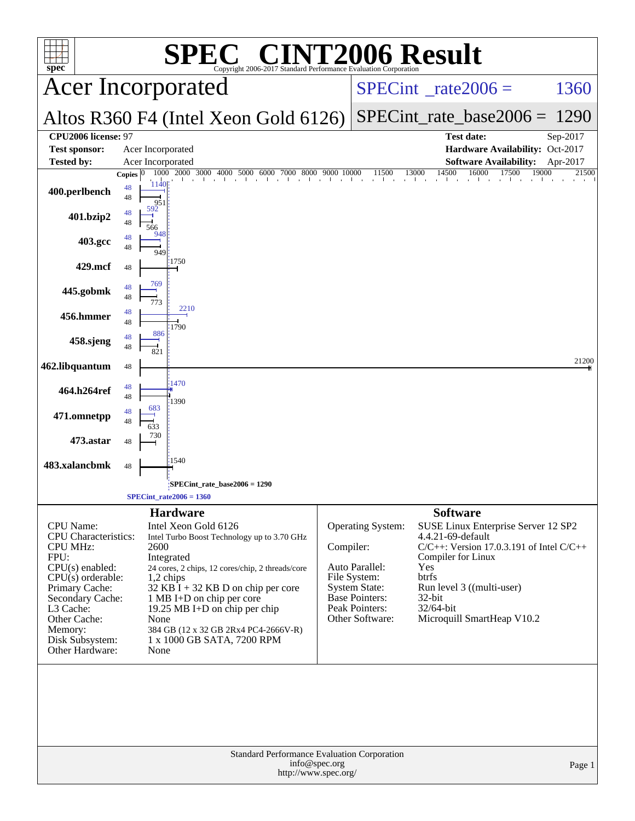| spec <sup>®</sup>                                                                                                                                                                                                                          |             |                                                                                                                                                                                                                                                                                                                                                        | <b>EC<sup>®</sup> CINT2006 Result</b><br>Copyright 2006-2017 Standard Performance Evaluation Corporation |                                                                                                                                                        |                                                                                                                                                                                                                                      |                      |
|--------------------------------------------------------------------------------------------------------------------------------------------------------------------------------------------------------------------------------------------|-------------|--------------------------------------------------------------------------------------------------------------------------------------------------------------------------------------------------------------------------------------------------------------------------------------------------------------------------------------------------------|----------------------------------------------------------------------------------------------------------|--------------------------------------------------------------------------------------------------------------------------------------------------------|--------------------------------------------------------------------------------------------------------------------------------------------------------------------------------------------------------------------------------------|----------------------|
|                                                                                                                                                                                                                                            |             | <b>Acer Incorporated</b>                                                                                                                                                                                                                                                                                                                               |                                                                                                          | $SPECint^{\circ}$ <sub>_rate2006</sub> =                                                                                                               | 1360                                                                                                                                                                                                                                 |                      |
| Altos R360 F4 (Intel Xeon Gold 6126)                                                                                                                                                                                                       |             |                                                                                                                                                                                                                                                                                                                                                        |                                                                                                          |                                                                                                                                                        | $SPECint_rate\_base2006 =$                                                                                                                                                                                                           | 1290                 |
| CPU2006 license: 97<br><b>Test sponsor:</b><br><b>Tested by:</b>                                                                                                                                                                           |             | Acer Incorporated<br>Acer Incorporated                                                                                                                                                                                                                                                                                                                 |                                                                                                          |                                                                                                                                                        | <b>Test date:</b><br>Hardware Availability: Oct-2017<br><b>Software Availability:</b>                                                                                                                                                | Sep-2017<br>Apr-2017 |
|                                                                                                                                                                                                                                            | Copies $ 0$ | 2000 3000<br>1000<br>4000 5000                                                                                                                                                                                                                                                                                                                         | 8000<br>9000<br>6000<br>7000                                                                             | 10000<br>11500                                                                                                                                         | 14500<br>16000<br>13000<br>17500                                                                                                                                                                                                     | 19000<br>21500       |
| 400.perlbench                                                                                                                                                                                                                              | 48<br>48    | 1140<br>951                                                                                                                                                                                                                                                                                                                                            |                                                                                                          |                                                                                                                                                        |                                                                                                                                                                                                                                      |                      |
| 401.bzip2                                                                                                                                                                                                                                  | 48<br>48    | 592<br>566                                                                                                                                                                                                                                                                                                                                             |                                                                                                          |                                                                                                                                                        |                                                                                                                                                                                                                                      |                      |
| 403.gcc                                                                                                                                                                                                                                    | 48<br>48    | 948<br>949                                                                                                                                                                                                                                                                                                                                             |                                                                                                          |                                                                                                                                                        |                                                                                                                                                                                                                                      |                      |
| 429.mcf                                                                                                                                                                                                                                    | 48          | :1750                                                                                                                                                                                                                                                                                                                                                  |                                                                                                          |                                                                                                                                                        |                                                                                                                                                                                                                                      |                      |
| 445.gobmk                                                                                                                                                                                                                                  | 48<br>48    | 769<br>773                                                                                                                                                                                                                                                                                                                                             |                                                                                                          |                                                                                                                                                        |                                                                                                                                                                                                                                      |                      |
| 456.hmmer                                                                                                                                                                                                                                  | 48<br>48    | 2210<br>1790                                                                                                                                                                                                                                                                                                                                           |                                                                                                          |                                                                                                                                                        |                                                                                                                                                                                                                                      |                      |
| 458.sjeng                                                                                                                                                                                                                                  | 48<br>48    | 886<br>821                                                                                                                                                                                                                                                                                                                                             |                                                                                                          |                                                                                                                                                        |                                                                                                                                                                                                                                      |                      |
| 462.libquantum                                                                                                                                                                                                                             | 48          | 1470                                                                                                                                                                                                                                                                                                                                                   |                                                                                                          |                                                                                                                                                        |                                                                                                                                                                                                                                      | 21200                |
| 464.h264ref                                                                                                                                                                                                                                | 48<br>48    | 1390<br>683                                                                                                                                                                                                                                                                                                                                            |                                                                                                          |                                                                                                                                                        |                                                                                                                                                                                                                                      |                      |
| 471.omnetpp                                                                                                                                                                                                                                | 48<br>48    |                                                                                                                                                                                                                                                                                                                                                        |                                                                                                          |                                                                                                                                                        |                                                                                                                                                                                                                                      |                      |
| 473.astar                                                                                                                                                                                                                                  | 48          | 730<br>1540                                                                                                                                                                                                                                                                                                                                            |                                                                                                          |                                                                                                                                                        |                                                                                                                                                                                                                                      |                      |
| 483.xalancbmk                                                                                                                                                                                                                              | 48          |                                                                                                                                                                                                                                                                                                                                                        |                                                                                                          |                                                                                                                                                        |                                                                                                                                                                                                                                      |                      |
|                                                                                                                                                                                                                                            |             | SPECint_rate_base2006 = 1290<br>$SPECint\_rate2006 = 1360$                                                                                                                                                                                                                                                                                             |                                                                                                          |                                                                                                                                                        |                                                                                                                                                                                                                                      |                      |
|                                                                                                                                                                                                                                            |             | <b>Hardware</b>                                                                                                                                                                                                                                                                                                                                        |                                                                                                          |                                                                                                                                                        | <b>Software</b>                                                                                                                                                                                                                      |                      |
| <b>CPU</b> Name:<br><b>CPU</b> Characteristics:<br><b>CPU MHz:</b><br>FPU:<br>$CPU(s)$ enabled:<br>$CPU(s)$ orderable:<br>Primary Cache:<br>Secondary Cache:<br>L3 Cache:<br>Other Cache:<br>Memory:<br>Disk Subsystem:<br>Other Hardware: |             | Intel Xeon Gold 6126<br>Intel Turbo Boost Technology up to 3.70 GHz<br>2600<br>Integrated<br>24 cores, 2 chips, 12 cores/chip, 2 threads/core<br>1,2 chips<br>$32$ KB I + 32 KB D on chip per core<br>1 MB I+D on chip per core<br>19.25 MB I+D on chip per chip<br>None<br>384 GB (12 x 32 GB 2Rx4 PC4-2666V-R)<br>1 x 1000 GB SATA, 7200 RPM<br>None |                                                                                                          | Operating System:<br>Compiler:<br>Auto Parallel:<br>File System:<br><b>System State:</b><br><b>Base Pointers:</b><br>Peak Pointers:<br>Other Software: | SUSE Linux Enterprise Server 12 SP2<br>4.4.21-69-default<br>$C/C++$ : Version 17.0.3.191 of Intel $C/C++$<br>Compiler for Linux<br>Yes<br>btrfs<br>Run level 3 ((multi-user)<br>$32$ -bit<br>32/64-bit<br>Microquill SmartHeap V10.2 |                      |
|                                                                                                                                                                                                                                            |             |                                                                                                                                                                                                                                                                                                                                                        | Standard Performance Evaluation Corporation<br>info@spec.org<br>http://www.spec.org/                     |                                                                                                                                                        |                                                                                                                                                                                                                                      | Page 1               |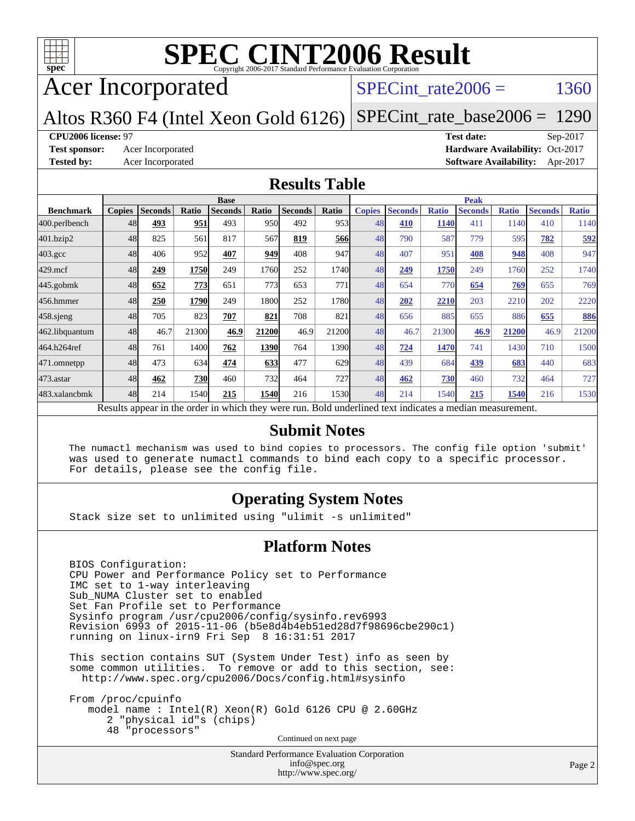

# Acer Incorporated

#### SPECint rate  $2006 = 1360$

Altos R360 F4 (Intel Xeon Gold 6126) [SPECint\\_rate\\_base2006 =](http://www.spec.org/auto/cpu2006/Docs/result-fields.html#SPECintratebase2006) 1290

#### **[CPU2006 license:](http://www.spec.org/auto/cpu2006/Docs/result-fields.html#CPU2006license)** 97 **[Test date:](http://www.spec.org/auto/cpu2006/Docs/result-fields.html#Testdate)** Sep-2017

**[Test sponsor:](http://www.spec.org/auto/cpu2006/Docs/result-fields.html#Testsponsor)** Acer Incorporated **Acceleration Availability:** Oct-2017 **[Tested by:](http://www.spec.org/auto/cpu2006/Docs/result-fields.html#Testedby)** Acer Incorporated **[Software Availability:](http://www.spec.org/auto/cpu2006/Docs/result-fields.html#SoftwareAvailability)** Apr-2017

#### **[Results Table](http://www.spec.org/auto/cpu2006/Docs/result-fields.html#ResultsTable)**

|                                                                                                          | <b>Base</b>   |                |            |                |       |                |       | <b>Peak</b>   |                |              |                |              |                |              |
|----------------------------------------------------------------------------------------------------------|---------------|----------------|------------|----------------|-------|----------------|-------|---------------|----------------|--------------|----------------|--------------|----------------|--------------|
| <b>Benchmark</b>                                                                                         | <b>Copies</b> | <b>Seconds</b> | Ratio      | <b>Seconds</b> | Ratio | <b>Seconds</b> | Ratio | <b>Copies</b> | <b>Seconds</b> | <b>Ratio</b> | <b>Seconds</b> | <b>Ratio</b> | <b>Seconds</b> | <b>Ratio</b> |
| 400.perlbench                                                                                            | 48            | 493            | 951        | 493            | 950   | 492            | 953l  | 48            | 410            | 1140         | 411            | 1140         | 410            | 1140         |
| 401.bzip2                                                                                                | 48            | 825            | 561        | 817            | 567   | 819            | 566   | 48            | 790            | 587          | 779            | 595          | 782            | 592          |
| $403.\mathrm{gcc}$                                                                                       | 48            | 406            | 952        | 407            | 949   | 408            | 947   | 48            | 407            | 951          | 408            | 948          | 408            | 947          |
| $429$ .mcf                                                                                               | 48            | 249            | 1750       | 249            | 1760  | 252            | 1740  | 48            | 249            | 1750         | 249            | 1760         | 252            | 1740         |
| $445$ .gobmk                                                                                             | 48            | 652            | 773        | 651            | 773   | 653            | 771   | 48            | 654            | 770          | 654            | 769          | 655            | 769          |
| 456.hmmer                                                                                                | 48            | 250            | 1790       | 249            | 1800  | 252            | 1780  | 48            | 202            | 2210         | 203            | 2210         | 202            | 2220         |
| $458$ .sjeng                                                                                             | 48            | 705            | 823        | 707            | 821   | 708            | 821   | 48            | 656            | 885          | 655            | 886          | 655            | 886          |
| 462.libquantum                                                                                           | 48            | 46.7           | 21300      | 46.9           | 21200 | 46.9           | 21200 | 48            | 46.7           | 21300        | 46.9           | 21200        | 46.9           | 21200        |
| 464.h264ref                                                                                              | 48            | 761            | 1400       | 762            | 1390  | 764            | 1390  | 48            | 724            | 1470         | 741            | 1430         | 710            | 1500         |
| 471.omnetpp                                                                                              | 48            | 473            | 634        | 474            | 633   | 477            | 629   | 48            | 439            | 684          | 439            | 683          | 440            | 683          |
| $473.$ astar                                                                                             | 48            | 462            | <b>730</b> | 460            | 732   | 464            | 727   | 48            | 462            | 730          | 460            | 732          | 464            | 727          |
| 483.xalancbmk                                                                                            | 48            | 214            | 1540       | 215            | 1540  | 216            | 1530  | 48            | 214            | 1540         | 215            | 1540         | 216            | 1530         |
| Results appear in the order in which they were run. Bold underlined text indicates a median measurement. |               |                |            |                |       |                |       |               |                |              |                |              |                |              |

#### **[Submit Notes](http://www.spec.org/auto/cpu2006/Docs/result-fields.html#SubmitNotes)**

 The numactl mechanism was used to bind copies to processors. The config file option 'submit' was used to generate numactl commands to bind each copy to a specific processor. For details, please see the config file.

#### **[Operating System Notes](http://www.spec.org/auto/cpu2006/Docs/result-fields.html#OperatingSystemNotes)**

Stack size set to unlimited using "ulimit -s unlimited"

#### **[Platform Notes](http://www.spec.org/auto/cpu2006/Docs/result-fields.html#PlatformNotes)**

 BIOS Configuration: CPU Power and Performance Policy set to Performance IMC set to 1-way interleaving Sub\_NUMA Cluster set to enabled Set Fan Profile set to Performance Sysinfo program /usr/cpu2006/config/sysinfo.rev6993 Revision 6993 of 2015-11-06 (b5e8d4b4eb51ed28d7f98696cbe290c1) running on linux-irn9 Fri Sep 8 16:31:51 2017

 This section contains SUT (System Under Test) info as seen by some common utilities. To remove or add to this section, see: <http://www.spec.org/cpu2006/Docs/config.html#sysinfo>

 From /proc/cpuinfo model name : Intel(R) Xeon(R) Gold 6126 CPU @ 2.60GHz 2 "physical id"s (chips) 48 "processors" Continued on next page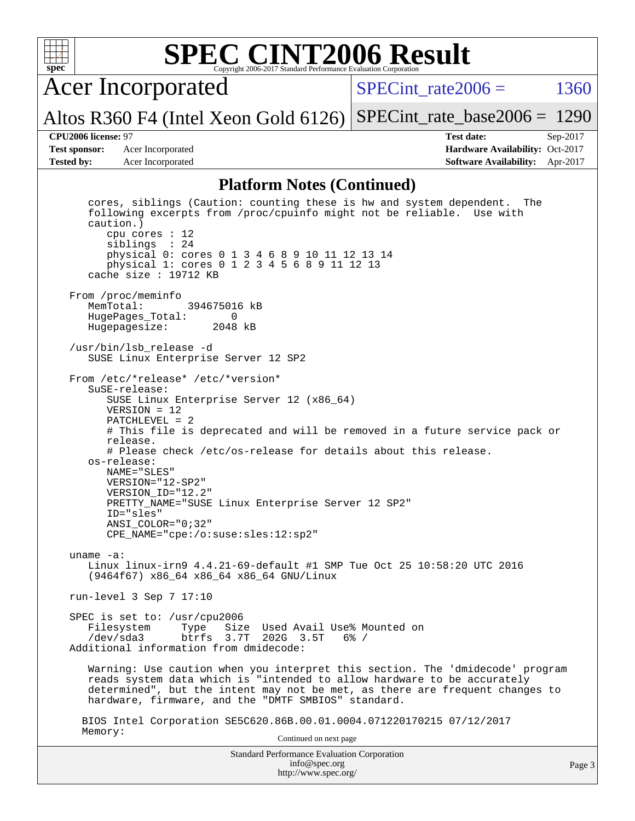

Acer Incorporated

SPECint rate  $2006 = 1360$ 

Altos R360 F4 (Intel Xeon Gold 6126) [SPECint\\_rate\\_base2006 =](http://www.spec.org/auto/cpu2006/Docs/result-fields.html#SPECintratebase2006) 1290

**[Test sponsor:](http://www.spec.org/auto/cpu2006/Docs/result-fields.html#Testsponsor)** Acer Incorporated **Acceleration Availability:** Oct-2017 **[Tested by:](http://www.spec.org/auto/cpu2006/Docs/result-fields.html#Testedby)** Acer Incorporated **[Software Availability:](http://www.spec.org/auto/cpu2006/Docs/result-fields.html#SoftwareAvailability)** Apr-2017

**[CPU2006 license:](http://www.spec.org/auto/cpu2006/Docs/result-fields.html#CPU2006license)** 97 **[Test date:](http://www.spec.org/auto/cpu2006/Docs/result-fields.html#Testdate)** Sep-2017

#### **[Platform Notes \(Continued\)](http://www.spec.org/auto/cpu2006/Docs/result-fields.html#PlatformNotes)**

Standard Performance Evaluation Corporation [info@spec.org](mailto:info@spec.org) <http://www.spec.org/> cores, siblings (Caution: counting these is hw and system dependent. The following excerpts from /proc/cpuinfo might not be reliable. Use with caution.) cpu cores : 12 siblings : 24 physical 0: cores 0 1 3 4 6 8 9 10 11 12 13 14 physical 1: cores 0 1 2 3 4 5 6 8 9 11 12 13 cache size : 19712 KB From /proc/meminfo<br>MemTotal: 394675016 kB HugePages\_Total: 0 Hugepagesize: 2048 kB /usr/bin/lsb\_release -d SUSE Linux Enterprise Server 12 SP2 From /etc/\*release\* /etc/\*version\* SuSE-release: SUSE Linux Enterprise Server 12 (x86\_64) VERSION = 12 PATCHLEVEL = 2 # This file is deprecated and will be removed in a future service pack or release. # Please check /etc/os-release for details about this release. os-release: NAME="SLES" VERSION="12-SP2" VERSION\_ID="12.2" PRETTY\_NAME="SUSE Linux Enterprise Server 12 SP2" ID="sles" ANSI\_COLOR="0;32" CPE\_NAME="cpe:/o:suse:sles:12:sp2" uname -a: Linux linux-irn9 4.4.21-69-default #1 SMP Tue Oct 25 10:58:20 UTC 2016 (9464f67) x86\_64 x86\_64 x86\_64 GNU/Linux run-level 3 Sep 7 17:10 SPEC is set to: /usr/cpu2006 Filesystem Type Size Used Avail Use% Mounted on<br>
/dev/sda3 btrfs 3.7T 202G 3.5T 6% / /dev/sda3 btrfs 3.7T 202G 3.5T 6% / Additional information from dmidecode: Warning: Use caution when you interpret this section. The 'dmidecode' program reads system data which is "intended to allow hardware to be accurately determined", but the intent may not be met, as there are frequent changes to hardware, firmware, and the "DMTF SMBIOS" standard. BIOS Intel Corporation SE5C620.86B.00.01.0004.071220170215 07/12/2017 Memory: Continued on next page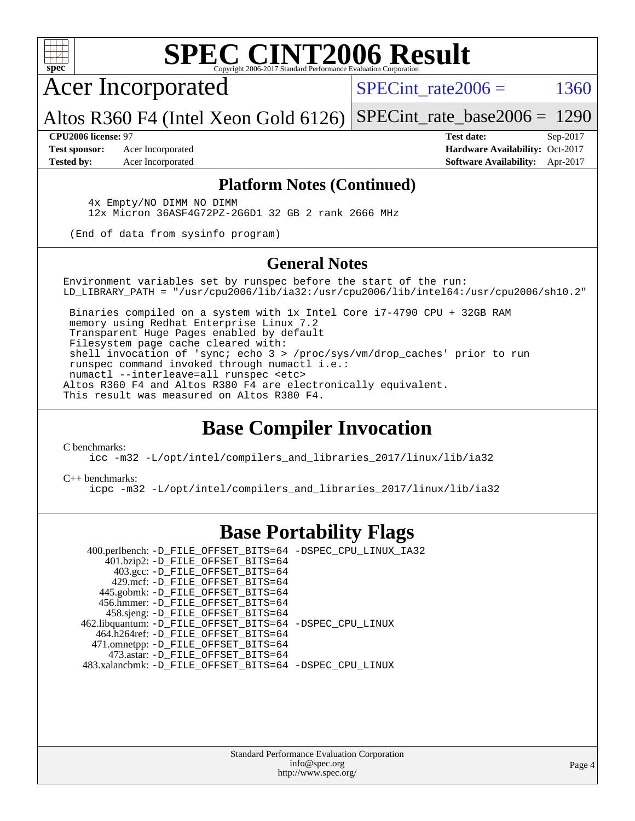

Acer Incorporated

SPECint rate  $2006 = 1360$ 

Altos R360 F4 (Intel Xeon Gold 6126) [SPECint\\_rate\\_base2006 =](http://www.spec.org/auto/cpu2006/Docs/result-fields.html#SPECintratebase2006) 1290

**[Test sponsor:](http://www.spec.org/auto/cpu2006/Docs/result-fields.html#Testsponsor)** Acer Incorporated **Acceleration Availability:** Oct-2017

**[CPU2006 license:](http://www.spec.org/auto/cpu2006/Docs/result-fields.html#CPU2006license)** 97 **[Test date:](http://www.spec.org/auto/cpu2006/Docs/result-fields.html#Testdate)** Sep-2017 **[Tested by:](http://www.spec.org/auto/cpu2006/Docs/result-fields.html#Testedby)** Acer Incorporated **[Software Availability:](http://www.spec.org/auto/cpu2006/Docs/result-fields.html#SoftwareAvailability)** Apr-2017

#### **[Platform Notes \(Continued\)](http://www.spec.org/auto/cpu2006/Docs/result-fields.html#PlatformNotes)**

 4x Empty/NO DIMM NO DIMM 12x Micron 36ASF4G72PZ-2G6D1 32 GB 2 rank 2666 MHz

(End of data from sysinfo program)

#### **[General Notes](http://www.spec.org/auto/cpu2006/Docs/result-fields.html#GeneralNotes)**

Environment variables set by runspec before the start of the run: LD\_LIBRARY\_PATH = "/usr/cpu2006/lib/ia32:/usr/cpu2006/lib/intel64:/usr/cpu2006/sh10.2"

 Binaries compiled on a system with 1x Intel Core i7-4790 CPU + 32GB RAM memory using Redhat Enterprise Linux 7.2 Transparent Huge Pages enabled by default Filesystem page cache cleared with: shell invocation of 'sync; echo 3 > /proc/sys/vm/drop\_caches' prior to run runspec command invoked through numactl i.e.: numactl --interleave=all runspec <etc> Altos R360 F4 and Altos R380 F4 are electronically equivalent. This result was measured on Altos R380 F4.

### **[Base Compiler Invocation](http://www.spec.org/auto/cpu2006/Docs/result-fields.html#BaseCompilerInvocation)**

[C benchmarks](http://www.spec.org/auto/cpu2006/Docs/result-fields.html#Cbenchmarks):

[icc -m32 -L/opt/intel/compilers\\_and\\_libraries\\_2017/linux/lib/ia32](http://www.spec.org/cpu2006/results/res2017q4/cpu2006-20170918-49404.flags.html#user_CCbase_intel_icc_c29f3ff5a7ed067b11e4ec10a03f03ae)

#### [C++ benchmarks:](http://www.spec.org/auto/cpu2006/Docs/result-fields.html#CXXbenchmarks)

[icpc -m32 -L/opt/intel/compilers\\_and\\_libraries\\_2017/linux/lib/ia32](http://www.spec.org/cpu2006/results/res2017q4/cpu2006-20170918-49404.flags.html#user_CXXbase_intel_icpc_8c35c7808b62dab9ae41a1aa06361b6b)

### **[Base Portability Flags](http://www.spec.org/auto/cpu2006/Docs/result-fields.html#BasePortabilityFlags)**

 400.perlbench: [-D\\_FILE\\_OFFSET\\_BITS=64](http://www.spec.org/cpu2006/results/res2017q4/cpu2006-20170918-49404.flags.html#user_basePORTABILITY400_perlbench_file_offset_bits_64_438cf9856305ebd76870a2c6dc2689ab) [-DSPEC\\_CPU\\_LINUX\\_IA32](http://www.spec.org/cpu2006/results/res2017q4/cpu2006-20170918-49404.flags.html#b400.perlbench_baseCPORTABILITY_DSPEC_CPU_LINUX_IA32) 401.bzip2: [-D\\_FILE\\_OFFSET\\_BITS=64](http://www.spec.org/cpu2006/results/res2017q4/cpu2006-20170918-49404.flags.html#user_basePORTABILITY401_bzip2_file_offset_bits_64_438cf9856305ebd76870a2c6dc2689ab) 403.gcc: [-D\\_FILE\\_OFFSET\\_BITS=64](http://www.spec.org/cpu2006/results/res2017q4/cpu2006-20170918-49404.flags.html#user_basePORTABILITY403_gcc_file_offset_bits_64_438cf9856305ebd76870a2c6dc2689ab) 429.mcf: [-D\\_FILE\\_OFFSET\\_BITS=64](http://www.spec.org/cpu2006/results/res2017q4/cpu2006-20170918-49404.flags.html#user_basePORTABILITY429_mcf_file_offset_bits_64_438cf9856305ebd76870a2c6dc2689ab) 445.gobmk: [-D\\_FILE\\_OFFSET\\_BITS=64](http://www.spec.org/cpu2006/results/res2017q4/cpu2006-20170918-49404.flags.html#user_basePORTABILITY445_gobmk_file_offset_bits_64_438cf9856305ebd76870a2c6dc2689ab) 456.hmmer: [-D\\_FILE\\_OFFSET\\_BITS=64](http://www.spec.org/cpu2006/results/res2017q4/cpu2006-20170918-49404.flags.html#user_basePORTABILITY456_hmmer_file_offset_bits_64_438cf9856305ebd76870a2c6dc2689ab) 458.sjeng: [-D\\_FILE\\_OFFSET\\_BITS=64](http://www.spec.org/cpu2006/results/res2017q4/cpu2006-20170918-49404.flags.html#user_basePORTABILITY458_sjeng_file_offset_bits_64_438cf9856305ebd76870a2c6dc2689ab) 462.libquantum: [-D\\_FILE\\_OFFSET\\_BITS=64](http://www.spec.org/cpu2006/results/res2017q4/cpu2006-20170918-49404.flags.html#user_basePORTABILITY462_libquantum_file_offset_bits_64_438cf9856305ebd76870a2c6dc2689ab) [-DSPEC\\_CPU\\_LINUX](http://www.spec.org/cpu2006/results/res2017q4/cpu2006-20170918-49404.flags.html#b462.libquantum_baseCPORTABILITY_DSPEC_CPU_LINUX) 464.h264ref: [-D\\_FILE\\_OFFSET\\_BITS=64](http://www.spec.org/cpu2006/results/res2017q4/cpu2006-20170918-49404.flags.html#user_basePORTABILITY464_h264ref_file_offset_bits_64_438cf9856305ebd76870a2c6dc2689ab) 471.omnetpp: [-D\\_FILE\\_OFFSET\\_BITS=64](http://www.spec.org/cpu2006/results/res2017q4/cpu2006-20170918-49404.flags.html#user_basePORTABILITY471_omnetpp_file_offset_bits_64_438cf9856305ebd76870a2c6dc2689ab) 473.astar: [-D\\_FILE\\_OFFSET\\_BITS=64](http://www.spec.org/cpu2006/results/res2017q4/cpu2006-20170918-49404.flags.html#user_basePORTABILITY473_astar_file_offset_bits_64_438cf9856305ebd76870a2c6dc2689ab) 483.xalancbmk: [-D\\_FILE\\_OFFSET\\_BITS=64](http://www.spec.org/cpu2006/results/res2017q4/cpu2006-20170918-49404.flags.html#user_basePORTABILITY483_xalancbmk_file_offset_bits_64_438cf9856305ebd76870a2c6dc2689ab) [-DSPEC\\_CPU\\_LINUX](http://www.spec.org/cpu2006/results/res2017q4/cpu2006-20170918-49404.flags.html#b483.xalancbmk_baseCXXPORTABILITY_DSPEC_CPU_LINUX)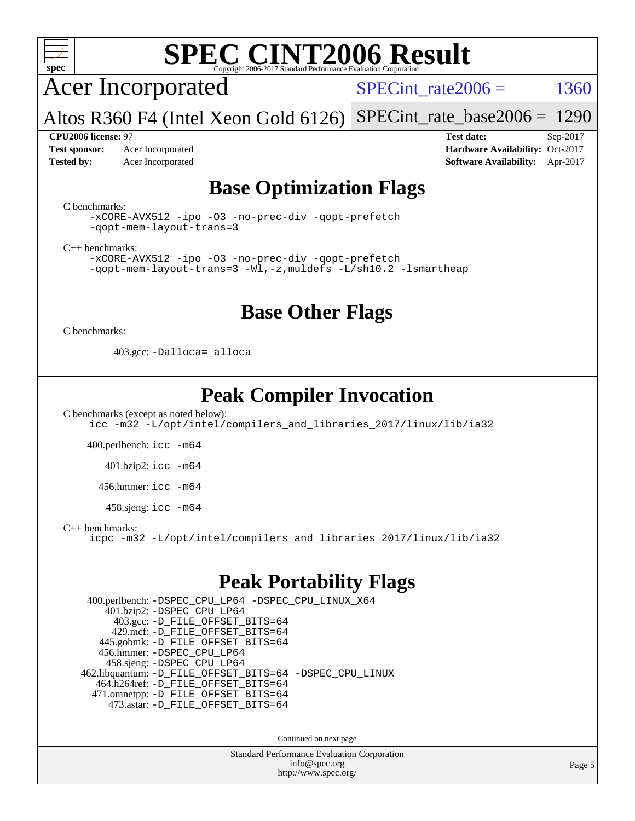

Acer Incorporated

SPECint rate  $2006 = 1360$ 

Altos R360 F4 (Intel Xeon Gold 6126) [SPECint\\_rate\\_base2006 =](http://www.spec.org/auto/cpu2006/Docs/result-fields.html#SPECintratebase2006) 1290

**[Test sponsor:](http://www.spec.org/auto/cpu2006/Docs/result-fields.html#Testsponsor)** Acer Incorporated **Acceleration Availability:** Oct-2017

**[CPU2006 license:](http://www.spec.org/auto/cpu2006/Docs/result-fields.html#CPU2006license)** 97 **[Test date:](http://www.spec.org/auto/cpu2006/Docs/result-fields.html#Testdate)** Sep-2017 **[Tested by:](http://www.spec.org/auto/cpu2006/Docs/result-fields.html#Testedby)** Acer Incorporated **[Software Availability:](http://www.spec.org/auto/cpu2006/Docs/result-fields.html#SoftwareAvailability)** Apr-2017

### **[Base Optimization Flags](http://www.spec.org/auto/cpu2006/Docs/result-fields.html#BaseOptimizationFlags)**

[C benchmarks](http://www.spec.org/auto/cpu2006/Docs/result-fields.html#Cbenchmarks):

[-xCORE-AVX512](http://www.spec.org/cpu2006/results/res2017q4/cpu2006-20170918-49404.flags.html#user_CCbase_f-xCORE-AVX512) [-ipo](http://www.spec.org/cpu2006/results/res2017q4/cpu2006-20170918-49404.flags.html#user_CCbase_f-ipo) [-O3](http://www.spec.org/cpu2006/results/res2017q4/cpu2006-20170918-49404.flags.html#user_CCbase_f-O3) [-no-prec-div](http://www.spec.org/cpu2006/results/res2017q4/cpu2006-20170918-49404.flags.html#user_CCbase_f-no-prec-div) [-qopt-prefetch](http://www.spec.org/cpu2006/results/res2017q4/cpu2006-20170918-49404.flags.html#user_CCbase_f-qopt-prefetch) [-qopt-mem-layout-trans=3](http://www.spec.org/cpu2006/results/res2017q4/cpu2006-20170918-49404.flags.html#user_CCbase_f-qopt-mem-layout-trans_170f5be61cd2cedc9b54468c59262d5d)

[C++ benchmarks:](http://www.spec.org/auto/cpu2006/Docs/result-fields.html#CXXbenchmarks)

[-xCORE-AVX512](http://www.spec.org/cpu2006/results/res2017q4/cpu2006-20170918-49404.flags.html#user_CXXbase_f-xCORE-AVX512) [-ipo](http://www.spec.org/cpu2006/results/res2017q4/cpu2006-20170918-49404.flags.html#user_CXXbase_f-ipo) [-O3](http://www.spec.org/cpu2006/results/res2017q4/cpu2006-20170918-49404.flags.html#user_CXXbase_f-O3) [-no-prec-div](http://www.spec.org/cpu2006/results/res2017q4/cpu2006-20170918-49404.flags.html#user_CXXbase_f-no-prec-div) [-qopt-prefetch](http://www.spec.org/cpu2006/results/res2017q4/cpu2006-20170918-49404.flags.html#user_CXXbase_f-qopt-prefetch) [-qopt-mem-layout-trans=3](http://www.spec.org/cpu2006/results/res2017q4/cpu2006-20170918-49404.flags.html#user_CXXbase_f-qopt-mem-layout-trans_170f5be61cd2cedc9b54468c59262d5d) [-Wl,-z,muldefs](http://www.spec.org/cpu2006/results/res2017q4/cpu2006-20170918-49404.flags.html#user_CXXbase_link_force_multiple1_74079c344b956b9658436fd1b6dd3a8a) [-L/sh10.2 -lsmartheap](http://www.spec.org/cpu2006/results/res2017q4/cpu2006-20170918-49404.flags.html#user_CXXbase_SmartHeap_b831f2d313e2fffa6dfe3f00ffc1f1c0)

### **[Base Other Flags](http://www.spec.org/auto/cpu2006/Docs/result-fields.html#BaseOtherFlags)**

[C benchmarks](http://www.spec.org/auto/cpu2006/Docs/result-fields.html#Cbenchmarks):

403.gcc: [-Dalloca=\\_alloca](http://www.spec.org/cpu2006/results/res2017q4/cpu2006-20170918-49404.flags.html#b403.gcc_baseEXTRA_CFLAGS_Dalloca_be3056838c12de2578596ca5467af7f3)

### **[Peak Compiler Invocation](http://www.spec.org/auto/cpu2006/Docs/result-fields.html#PeakCompilerInvocation)**

[C benchmarks \(except as noted below\)](http://www.spec.org/auto/cpu2006/Docs/result-fields.html#Cbenchmarksexceptasnotedbelow): [icc -m32 -L/opt/intel/compilers\\_and\\_libraries\\_2017/linux/lib/ia32](http://www.spec.org/cpu2006/results/res2017q4/cpu2006-20170918-49404.flags.html#user_CCpeak_intel_icc_c29f3ff5a7ed067b11e4ec10a03f03ae)

400.perlbench: [icc -m64](http://www.spec.org/cpu2006/results/res2017q4/cpu2006-20170918-49404.flags.html#user_peakCCLD400_perlbench_intel_icc_64bit_bda6cc9af1fdbb0edc3795bac97ada53)

401.bzip2: [icc -m64](http://www.spec.org/cpu2006/results/res2017q4/cpu2006-20170918-49404.flags.html#user_peakCCLD401_bzip2_intel_icc_64bit_bda6cc9af1fdbb0edc3795bac97ada53)

456.hmmer: [icc -m64](http://www.spec.org/cpu2006/results/res2017q4/cpu2006-20170918-49404.flags.html#user_peakCCLD456_hmmer_intel_icc_64bit_bda6cc9af1fdbb0edc3795bac97ada53)

458.sjeng: [icc -m64](http://www.spec.org/cpu2006/results/res2017q4/cpu2006-20170918-49404.flags.html#user_peakCCLD458_sjeng_intel_icc_64bit_bda6cc9af1fdbb0edc3795bac97ada53)

[C++ benchmarks:](http://www.spec.org/auto/cpu2006/Docs/result-fields.html#CXXbenchmarks)

[icpc -m32 -L/opt/intel/compilers\\_and\\_libraries\\_2017/linux/lib/ia32](http://www.spec.org/cpu2006/results/res2017q4/cpu2006-20170918-49404.flags.html#user_CXXpeak_intel_icpc_8c35c7808b62dab9ae41a1aa06361b6b)

### **[Peak Portability Flags](http://www.spec.org/auto/cpu2006/Docs/result-fields.html#PeakPortabilityFlags)**

 400.perlbench: [-DSPEC\\_CPU\\_LP64](http://www.spec.org/cpu2006/results/res2017q4/cpu2006-20170918-49404.flags.html#b400.perlbench_peakCPORTABILITY_DSPEC_CPU_LP64) [-DSPEC\\_CPU\\_LINUX\\_X64](http://www.spec.org/cpu2006/results/res2017q4/cpu2006-20170918-49404.flags.html#b400.perlbench_peakCPORTABILITY_DSPEC_CPU_LINUX_X64) 401.bzip2: [-DSPEC\\_CPU\\_LP64](http://www.spec.org/cpu2006/results/res2017q4/cpu2006-20170918-49404.flags.html#suite_peakCPORTABILITY401_bzip2_DSPEC_CPU_LP64) 403.gcc: [-D\\_FILE\\_OFFSET\\_BITS=64](http://www.spec.org/cpu2006/results/res2017q4/cpu2006-20170918-49404.flags.html#user_peakPORTABILITY403_gcc_file_offset_bits_64_438cf9856305ebd76870a2c6dc2689ab) 429.mcf: [-D\\_FILE\\_OFFSET\\_BITS=64](http://www.spec.org/cpu2006/results/res2017q4/cpu2006-20170918-49404.flags.html#user_peakPORTABILITY429_mcf_file_offset_bits_64_438cf9856305ebd76870a2c6dc2689ab) 445.gobmk: [-D\\_FILE\\_OFFSET\\_BITS=64](http://www.spec.org/cpu2006/results/res2017q4/cpu2006-20170918-49404.flags.html#user_peakPORTABILITY445_gobmk_file_offset_bits_64_438cf9856305ebd76870a2c6dc2689ab) 456.hmmer: [-DSPEC\\_CPU\\_LP64](http://www.spec.org/cpu2006/results/res2017q4/cpu2006-20170918-49404.flags.html#suite_peakCPORTABILITY456_hmmer_DSPEC_CPU_LP64) 458.sjeng: [-DSPEC\\_CPU\\_LP64](http://www.spec.org/cpu2006/results/res2017q4/cpu2006-20170918-49404.flags.html#suite_peakCPORTABILITY458_sjeng_DSPEC_CPU_LP64) 462.libquantum: [-D\\_FILE\\_OFFSET\\_BITS=64](http://www.spec.org/cpu2006/results/res2017q4/cpu2006-20170918-49404.flags.html#user_peakPORTABILITY462_libquantum_file_offset_bits_64_438cf9856305ebd76870a2c6dc2689ab) [-DSPEC\\_CPU\\_LINUX](http://www.spec.org/cpu2006/results/res2017q4/cpu2006-20170918-49404.flags.html#b462.libquantum_peakCPORTABILITY_DSPEC_CPU_LINUX) 464.h264ref: [-D\\_FILE\\_OFFSET\\_BITS=64](http://www.spec.org/cpu2006/results/res2017q4/cpu2006-20170918-49404.flags.html#user_peakPORTABILITY464_h264ref_file_offset_bits_64_438cf9856305ebd76870a2c6dc2689ab) 471.omnetpp: [-D\\_FILE\\_OFFSET\\_BITS=64](http://www.spec.org/cpu2006/results/res2017q4/cpu2006-20170918-49404.flags.html#user_peakPORTABILITY471_omnetpp_file_offset_bits_64_438cf9856305ebd76870a2c6dc2689ab) 473.astar: [-D\\_FILE\\_OFFSET\\_BITS=64](http://www.spec.org/cpu2006/results/res2017q4/cpu2006-20170918-49404.flags.html#user_peakPORTABILITY473_astar_file_offset_bits_64_438cf9856305ebd76870a2c6dc2689ab)

Continued on next page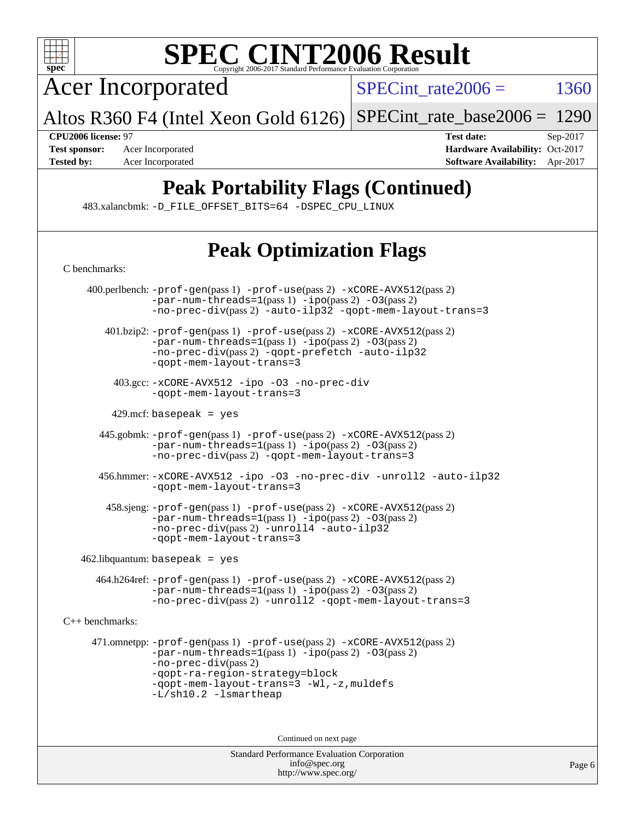

Acer Incorporated

 $SPECTnt_rate2006 = 1360$ 

Altos R360 F4 (Intel Xeon Gold 6126) [SPECint\\_rate\\_base2006 =](http://www.spec.org/auto/cpu2006/Docs/result-fields.html#SPECintratebase2006) 1290

**[CPU2006 license:](http://www.spec.org/auto/cpu2006/Docs/result-fields.html#CPU2006license)** 97 **[Test date:](http://www.spec.org/auto/cpu2006/Docs/result-fields.html#Testdate)** Sep-2017 **[Test sponsor:](http://www.spec.org/auto/cpu2006/Docs/result-fields.html#Testsponsor)** Acer Incorporated **[Hardware Availability:](http://www.spec.org/auto/cpu2006/Docs/result-fields.html#HardwareAvailability)** Oct-2017 **[Tested by:](http://www.spec.org/auto/cpu2006/Docs/result-fields.html#Testedby)** Acer Incorporated **[Software Availability:](http://www.spec.org/auto/cpu2006/Docs/result-fields.html#SoftwareAvailability)** Apr-2017

## **[Peak Portability Flags \(Continued\)](http://www.spec.org/auto/cpu2006/Docs/result-fields.html#PeakPortabilityFlags)**

483.xalancbmk: [-D\\_FILE\\_OFFSET\\_BITS=64](http://www.spec.org/cpu2006/results/res2017q4/cpu2006-20170918-49404.flags.html#user_peakPORTABILITY483_xalancbmk_file_offset_bits_64_438cf9856305ebd76870a2c6dc2689ab) [-DSPEC\\_CPU\\_LINUX](http://www.spec.org/cpu2006/results/res2017q4/cpu2006-20170918-49404.flags.html#b483.xalancbmk_peakCXXPORTABILITY_DSPEC_CPU_LINUX)

# **[Peak Optimization Flags](http://www.spec.org/auto/cpu2006/Docs/result-fields.html#PeakOptimizationFlags)**

| C benchmarks:          |                                                                                                                                                                                                                                                                       |  |  |  |  |
|------------------------|-----------------------------------------------------------------------------------------------------------------------------------------------------------------------------------------------------------------------------------------------------------------------|--|--|--|--|
|                        | 400.perlbench: -prof-gen(pass 1) -prof-use(pass 2) -xCORE-AVX512(pass 2)<br>$-par-num-threads=1(pass 1) -ipo(pass 2) -03(pass 2)$<br>-no-prec-div(pass 2) -auto-ilp32 -qopt-mem-layout-trans=3                                                                        |  |  |  |  |
|                        | 401.bzip2: -prof-gen(pass 1) -prof-use(pass 2) -xCORE-AVX512(pass 2)<br>$-par-num-threads=1(pass 1) -ipo(pass 2) -03(pass 2)$<br>-no-prec-div(pass 2) -qopt-prefetch -auto-ilp32<br>-gopt-mem-layout-trans=3                                                          |  |  |  |  |
|                        | 403.gcc: -xCORE-AVX512 -ipo -03 -no-prec-div<br>-qopt-mem-layout-trans=3                                                                                                                                                                                              |  |  |  |  |
|                        | $429$ .mcf: basepeak = yes                                                                                                                                                                                                                                            |  |  |  |  |
|                        | 445.gobmk: -prof-gen(pass 1) -prof-use(pass 2) -xCORE-AVX512(pass 2)<br>$-par-num-threads=1(pass 1) -ipo(pass 2) -03(pass 2)$<br>-no-prec-div(pass 2) -qopt-mem-layout-trans=3                                                                                        |  |  |  |  |
|                        | 456.hmmer: -xCORE-AVX512 -ipo -03 -no-prec-div -unroll2 -auto-ilp32<br>-gopt-mem-layout-trans=3                                                                                                                                                                       |  |  |  |  |
|                        | 458.sjeng: -prof-gen(pass 1) -prof-use(pass 2) -xCORE-AVX512(pass 2)<br>$-par-num-threads=1(pass 1) -ipo(pass 2) -03(pass 2)$<br>-no-prec-div(pass 2) -unroll4 -auto-ilp32<br>-gopt-mem-layout-trans=3                                                                |  |  |  |  |
|                        | $462$ .libquantum: basepeak = yes                                                                                                                                                                                                                                     |  |  |  |  |
|                        | 464.h264ref: -prof-gen(pass 1) -prof-use(pass 2) -xCORE-AVX512(pass 2)<br>$-par-num-threads=1(pass 1) -ipo(pass 2) -03(pass 2)$<br>-no-prec-div(pass 2) -unroll2 -qopt-mem-layout-trans=3                                                                             |  |  |  |  |
| $C_{++}$ benchmarks:   |                                                                                                                                                                                                                                                                       |  |  |  |  |
|                        | 471.omnetpp: -prof-gen(pass 1) -prof-use(pass 2) -xCORE-AVX512(pass 2)<br>$-par-num-threads=1(pass 1) -ipo(pass 2) -03(pass 2)$<br>$-no-prec-div(pass 2)$<br>-qopt-ra-region-strategy=block<br>-qopt-mem-layout-trans=3 -Wl,-z, muldefs<br>$-L/\nsh10.2 - lsmartheap$ |  |  |  |  |
| Continued on next page |                                                                                                                                                                                                                                                                       |  |  |  |  |
|                        | <b>Standard Performance Evaluation Corporation</b><br>info@spec.org                                                                                                                                                                                                   |  |  |  |  |

<http://www.spec.org/>